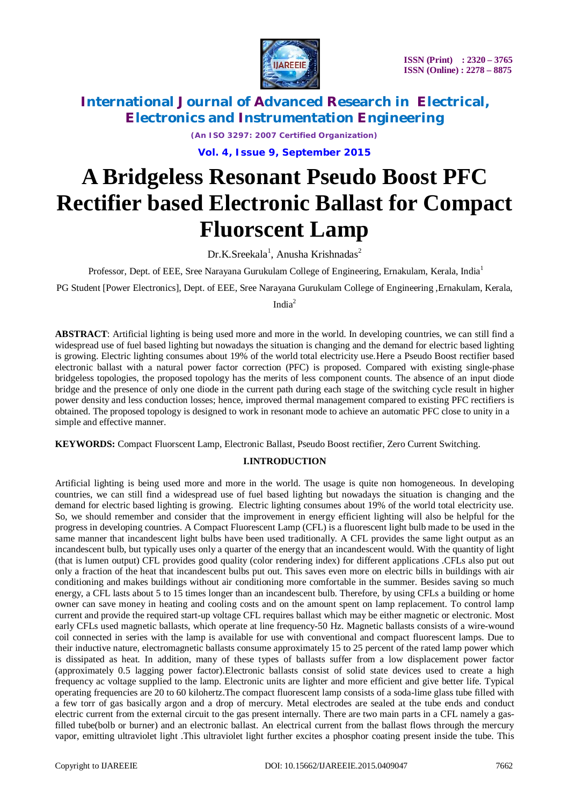

*(An ISO 3297: 2007 Certified Organization)* **Vol. 4, Issue 9, September 2015**

# **A Bridgeless Resonant Pseudo Boost PFC Rectifier based Electronic Ballast for Compact Fluorscent Lamp**

Dr.K.Sreekala<sup>1</sup>, Anusha Krishnadas<sup>2</sup>

Professor, Dept. of EEE, Sree Narayana Gurukulam College of Engineering, Ernakulam, Kerala, India<sup>1</sup>

PG Student [Power Electronics], Dept. of EEE, Sree Narayana Gurukulam College of Engineering ,Ernakulam, Kerala,

Indi $a^2$ 

**ABSTRACT**: Artificial lighting is being used more and more in the world. In developing countries, we can still find a widespread use of fuel based lighting but nowadays the situation is changing and the demand for electric based lighting is growing. Electric lighting consumes about 19% of the world total electricity use.Here a Pseudo Boost rectifier based electronic ballast with a natural power factor correction (PFC) is proposed. Compared with existing single-phase bridgeless topologies, the proposed topology has the merits of less component counts. The absence of an input diode bridge and the presence of only one diode in the current path during each stage of the switching cycle result in higher power density and less conduction losses; hence, improved thermal management compared to existing PFC rectifiers is obtained. The proposed topology is designed to work in resonant mode to achieve an automatic PFC close to unity in a simple and effective manner.

**KEYWORDS:** Compact Fluorscent Lamp, Electronic Ballast, Pseudo Boost rectifier, Zero Current Switching.

### **I.INTRODUCTION**

Artificial lighting is being used more and more in the world. The usage is quite non homogeneous. In developing countries, we can still find a widespread use of fuel based lighting but nowadays the situation is changing and the demand for electric based lighting is growing. Electric lighting consumes about 19% of the world total electricity use. So, we should remember and consider that the improvement in energy efficient lighting will also be helpful for the progress in developing countries. A Compact Fluorescent Lamp (CFL) is a fluorescent light bulb made to be used in the same manner that incandescent light bulbs have been used traditionally. A CFL provides the same light output as an incandescent bulb, but typically uses only a quarter of the energy that an incandescent would. With the quantity of light (that is lumen output) CFL provides good quality (color rendering index) for different applications .CFLs also put out only a fraction of the heat that incandescent bulbs put out. This saves even more on electric bills in buildings with air conditioning and makes buildings without air conditioning more comfortable in the summer. Besides saving so much energy, a CFL lasts about 5 to 15 times longer than an incandescent bulb. Therefore, by using CFLs a building or home owner can save money in heating and cooling costs and on the amount spent on lamp replacement. To control lamp current and provide the required start-up voltage CFL requires ballast which may be either magnetic or electronic. Most early CFLs used magnetic ballasts, which operate at line frequency-50 Hz. Magnetic ballasts consists of a wire-wound coil connected in series with the lamp is available for use with conventional and compact fluorescent lamps. Due to their inductive nature, electromagnetic ballasts consume approximately 15 to 25 percent of the rated lamp power which is dissipated as heat. In addition, many of these types of ballasts suffer from a low displacement power factor (approximately 0.5 lagging power factor).Electronic ballasts consist of solid state devices used to create a high frequency ac voltage supplied to the lamp. Electronic units are lighter and more efficient and give better life. Typical operating frequencies are 20 to 60 kilohertz.The compact fluorescent lamp consists of a soda-lime glass tube filled with a few torr of gas basically argon and a drop of mercury. Metal electrodes are sealed at the tube ends and conduct electric current from the external circuit to the gas present internally. There are two main parts in a CFL namely a gasfilled tube(bolb or burner) and an electronic ballast. An electrical current from the ballast flows through the mercury vapor, emitting ultraviolet light .This ultraviolet light further excites a phosphor coating present inside the tube. This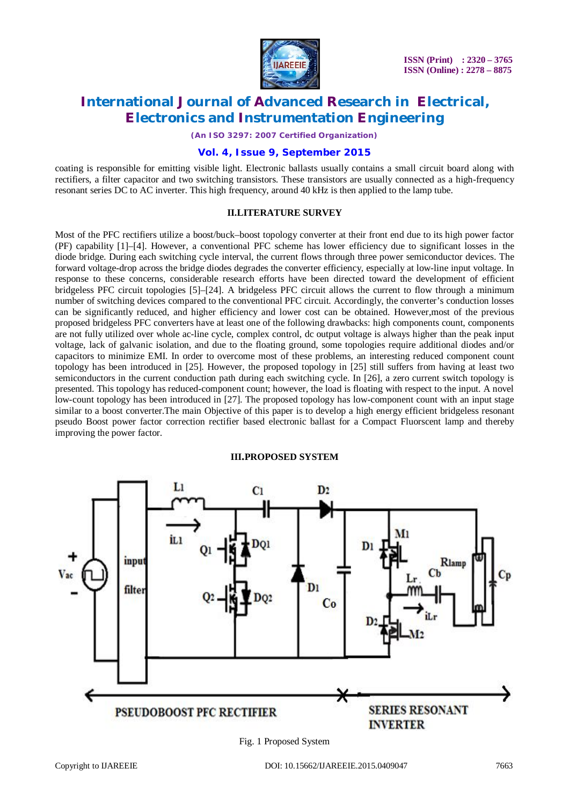

*(An ISO 3297: 2007 Certified Organization)*

### **Vol. 4, Issue 9, September 2015**

coating is responsible for emitting visible light. Electronic ballasts usually contains a small circuit board along with rectifiers, a filter capacitor and two switching transistors. These transistors are usually connected as a high-frequency resonant series DC to AC inverter. This high frequency, around 40 kHz is then applied to the lamp tube.

### **II.LITERATURE SURVEY**

Most of the PFC rectifiers utilize a boost/buck–boost topology converter at their front end due to its high power factor (PF) capability [1]–[4]. However, a conventional PFC scheme has lower efficiency due to significant losses in the diode bridge. During each switching cycle interval, the current flows through three power semiconductor devices. The forward voltage-drop across the bridge diodes degrades the converter efficiency, especially at low-line input voltage. In response to these concerns, considerable research efforts have been directed toward the development of efficient bridgeless PFC circuit topologies [5]–[24]. A bridgeless PFC circuit allows the current to flow through a minimum number of switching devices compared to the conventional PFC circuit. Accordingly, the converter's conduction losses can be significantly reduced, and higher efficiency and lower cost can be obtained. However,most of the previous proposed bridgeless PFC converters have at least one of the following drawbacks: high components count, components are not fully utilized over whole ac-line cycle, complex control, dc output voltage is always higher than the peak input voltage, lack of galvanic isolation, and due to the floating ground, some topologies require additional diodes and/or capacitors to minimize EMI. In order to overcome most of these problems, an interesting reduced component count topology has been introduced in [25]. However, the proposed topology in [25] still suffers from having at least two semiconductors in the current conduction path during each switching cycle. In [26], a zero current switch topology is presented. This topology has reduced-component count; however, the load is floating with respect to the input. A novel low-count topology has been introduced in [27]. The proposed topology has low-component count with an input stage similar to a boost converter.The main Objective of this paper is to develop a high energy efficient bridgeless resonant pseudo Boost power factor correction rectifier based electronic ballast for a Compact Fluorscent lamp and thereby improving the power factor.

#### **III.PROPOSED SYSTEM**



Fig. 1 Proposed System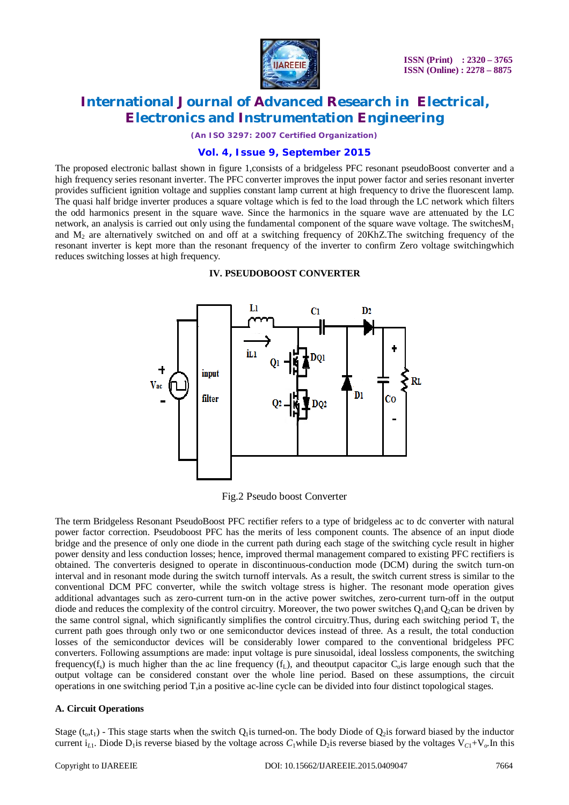

*(An ISO 3297: 2007 Certified Organization)*

### **Vol. 4, Issue 9, September 2015**

The proposed electronic ballast shown in figure 1,consists of a bridgeless PFC resonant pseudoBoost converter and a high frequency series resonant inverter. The PFC converter improves the input power factor and series resonant inverter provides sufficient ignition voltage and supplies constant lamp current at high frequency to drive the fluorescent lamp. The quasi half bridge inverter produces a square voltage which is fed to the load through the LC network which filters the odd harmonics present in the square wave. Since the harmonics in the square wave are attenuated by the LC network, an analysis is carried out only using the fundamental component of the square wave voltage. The switches $M_1$ and M<sup>2</sup> are alternatively switched on and off at a switching frequency of 20KhZ.The switching frequency of the resonant inverter is kept more than the resonant frequency of the inverter to confirm Zero voltage switchingwhich reduces switching losses at high frequency.

### **IV. PSEUDOBOOST CONVERTER**



Fig.2 Pseudo boost Converter

The term Bridgeless Resonant PseudoBoost PFC rectifier refers to a type of bridgeless ac to dc converter with natural power factor correction. Pseudoboost PFC has the merits of less component counts. The absence of an input diode bridge and the presence of only one diode in the current path during each stage of the switching cycle result in higher power density and less conduction losses; hence, improved thermal management compared to existing PFC rectifiers is obtained. The converteris designed to operate in discontinuous-conduction mode (DCM) during the switch turn-on interval and in resonant mode during the switch turnoff intervals. As a result, the switch current stress is similar to the conventional DCM PFC converter, while the switch voltage stress is higher. The resonant mode operation gives additional advantages such as zero-current turn-on in the active power switches, zero-current turn-off in the output diode and reduces the complexity of the control circuitry. Moreover, the two power switches  $Q_1$  and  $Q_2$ can be driven by the same control signal, which significantly simplifies the control circuitry. Thus, during each switching period  $T_s$  the current path goes through only two or one semiconductor devices instead of three. As a result, the total conduction losses of the semiconductor devices will be considerably lower compared to the conventional bridgeless PFC converters. Following assumptions are made: input voltage is pure sinusoidal, ideal lossless components, the switching frequency( $f_s$ ) is much higher than the ac line frequency ( $f_L$ ), and theoutput capacitor  $C_0$  is large enough such that the output voltage can be considered constant over the whole line period. Based on these assumptions, the circuit operations in one switching period T<sub>s</sub>in a positive ac-line cycle can be divided into four distinct topological stages.

### **A. Circuit Operations**

Stage  $(t_0,t_1)$  - This stage starts when the switch  $Q_1$  is turned-on. The body Diode of  $Q_2$  is forward biased by the inductor current i<sub>L1</sub>. Diode D<sub>1</sub> is reverse biased by the voltage across  $C_1$ while D<sub>2</sub> is reverse biased by the voltages  $V_{C_1}+V_o$ . In this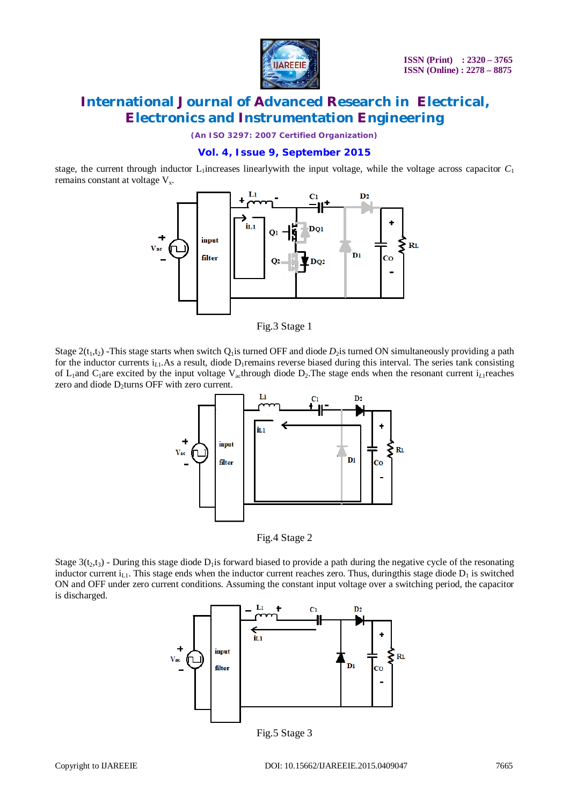

*(An ISO 3297: 2007 Certified Organization)*

### **Vol. 4, Issue 9, September 2015**

stage, the current through inductor  $L_1$  increases linearly with the input voltage, while the voltage across capacitor  $C_1$ remains constant at voltage  $V_x$ .



Fig.3 Stage 1

Stage  $2(t_1,t_2)$  -This stage starts when switch  $Q_1$  is turned OFF and diode  $D_2$  is turned ON simultaneously providing a path for the inductor currents  $i_L$ <sub>1</sub>.As a result, diode  $D_1$  remains reverse biased during this interval. The series tank consisting of L1and C1are excited by the input voltage Vacthrough diode D2.The stage ends when the resonant current i*<sup>L</sup>*1reaches zero and diode D<sub>2</sub>turns OFF with zero current.



Fig.4 Stage 2

Stage  $3(t_2,t_3)$  - During this stage diode D<sub>1</sub> is forward biased to provide a path during the negative cycle of the resonating inductor current  $i<sub>L,l</sub>$ . This stage ends when the inductor current reaches zero. Thus, duringthis stage diode  $D<sub>1</sub>$  is switched ON and OFF under zero current conditions. Assuming the constant input voltage over a switching period, the capacitor is discharged.



Fig.5 Stage 3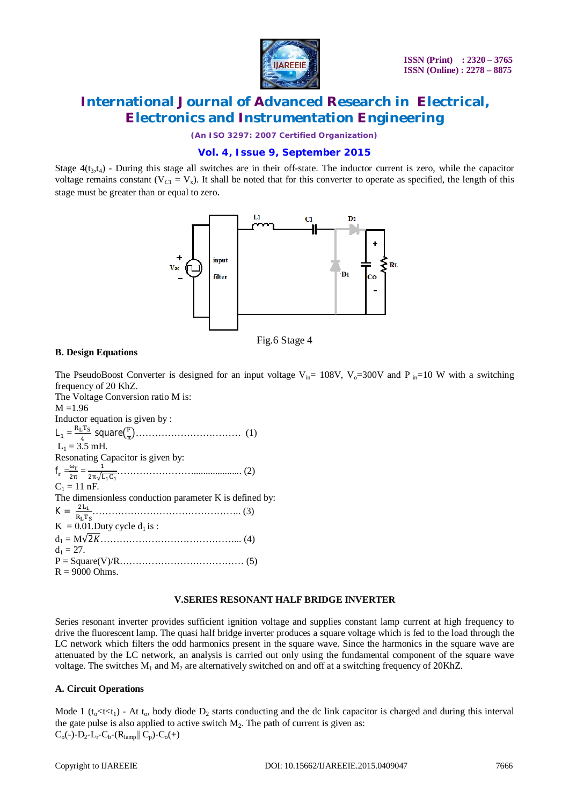

*(An ISO 3297: 2007 Certified Organization)*

### **Vol. 4, Issue 9, September 2015**

Stage  $4(t_3,t_4)$  - During this stage all switches are in their off-state. The inductor current is zero, while the capacitor voltage remains constant ( $V_{C1} = V_x$ ). It shall be noted that for this converter to operate as specified, the length of this stage must be greater than or equal to zero.



Fig.6 Stage 4

### **B. Design Equations**

The PseudoBoost Converter is designed for an input voltage V<sub>in</sub>= 108V, V<sub>o</sub>=300V and P <sub>in</sub>=10 W with a switching frequency of 20 KhZ. The Voltage Conversion ratio M is:  $M = 1.96$ Inductor equation is given by :  $L_1 = \frac{R_L T_S}{4}$  $\frac{1}{4}^{\rm T_S}$  square $\left(\frac{F}{\pi}\right)$  ൯…………………………… (1)  $L_1 = 3.5$  mH. Resonating Capacitor is given by:  $f_r = \frac{\omega_r}{2\pi}$  $rac{\omega_r}{2\pi} = \frac{1}{2\pi\sqrt{I}}$ ଶඥభେభ …………………….................... (2)  $C_1 = 11$  nF. The dimensionless conduction parameter K is defined by:  $K = \frac{2L_1}{R_1}$ ୖై ……………………………………….. (3)  $K = 0.01$ . Duty cycle  $d_1$  is : d<sup>1</sup> = M√2ܭ.............................................) 4(  $d_1 = 27$ .

## **V.SERIES RESONANT HALF BRIDGE INVERTER**

Series resonant inverter provides sufficient ignition voltage and supplies constant lamp current at high frequency to drive the fluorescent lamp. The quasi half bridge inverter produces a square voltage which is fed to the load through the LC network which filters the odd harmonics present in the square wave. Since the harmonics in the square wave are attenuated by the LC network, an analysis is carried out only using the fundamental component of the square wave voltage. The switches  $M_1$  and  $M_2$  are alternatively switched on and off at a switching frequency of 20KhZ.

### **A. Circuit Operations**

 $R = 9000$  Ohms.

P = Square(V)/R………………………………… (5)

Mode 1 ( $t_0$ <t<t<sub>1</sub>) - At  $t_0$ , body diode  $D_2$  starts conducting and the dc link capacitor is charged and during this interval the gate pulse is also applied to active switch  $M_2$ . The path of current is given as:  $C_0(-)$ -D<sub>2</sub>-L<sub>r</sub>-C<sub>b</sub>-(R<sub>lamp</sub>|| C<sub>p</sub>)-C<sub>o</sub>(+)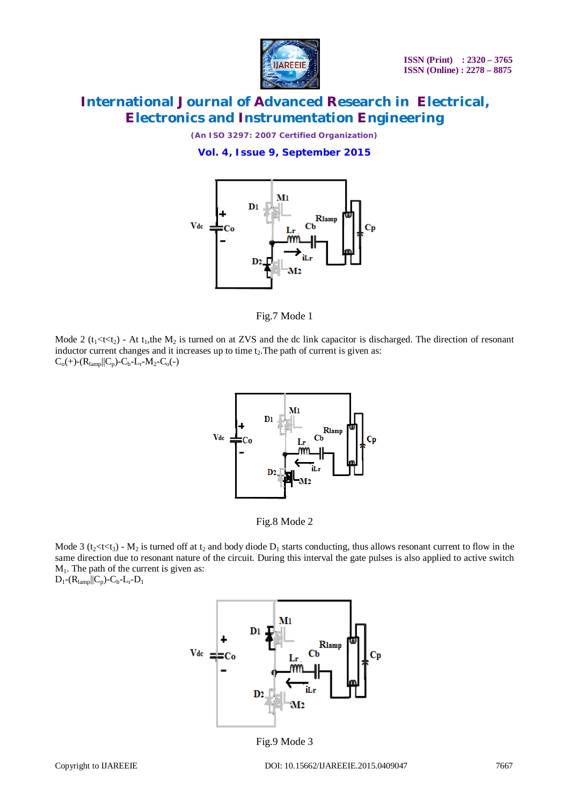

*(An ISO 3297: 2007 Certified Organization)* **Vol. 4, Issue 9, September 2015**



Fig.7 Mode 1

Mode 2 ( $t_1$ <t< $t_2$ ) - At  $t_1$ , the M<sub>2</sub> is turned on at ZVS and the dc link capacitor is discharged. The direction of resonant inductor current changes and it increases up to time  $t<sub>2</sub>$ . The path of current is given as:  $C_0(+)$ - $(R_{lamp}||C_p)$ - $C_b$ - $L_r$ - $M_2$ - $C_0($ - $)$ 



Fig.8 Mode 2

Mode 3 (t<sub>2</sub><t<t<sub>3</sub>) - M<sub>2</sub> is turned off at t<sub>2</sub> and body diode  $D_1$  starts conducting, thus allows resonant current to flow in the same direction due to resonant nature of the circuit. During this interval the gate pulses is also applied to active switch M1. The path of the current is given as:

 $D_1$ - $(R_{lamp}$ ||C<sub>p</sub>)-C<sub>b</sub>-L<sub>r</sub>- $D_1$ 



Fig.9 Mode 3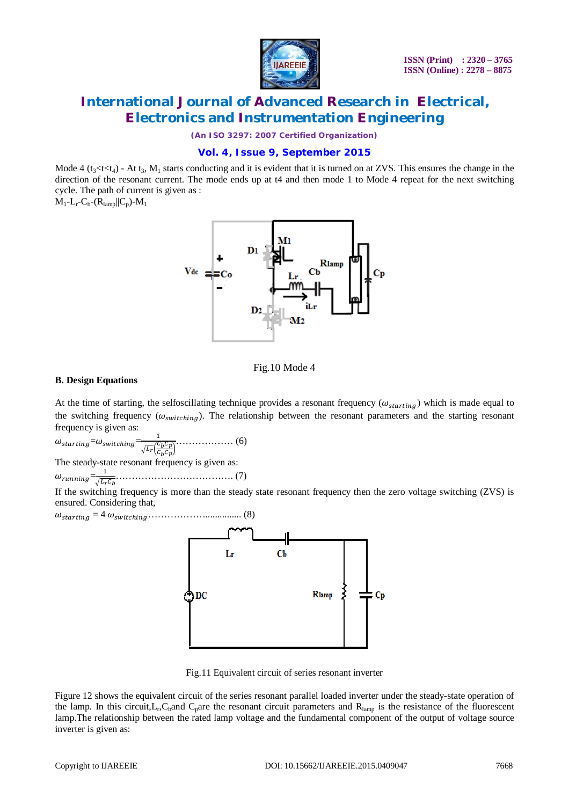

*(An ISO 3297: 2007 Certified Organization)*

### **Vol. 4, Issue 9, September 2015**

Mode 4 (t<sub>3</sub><t $\zeta$ ) - At t<sub>3</sub>, M<sub>1</sub> starts conducting and it is evident that it is turned on at ZVS. This ensures the change in the direction of the resonant current. The mode ends up at t4 and then mode 1 to Mode 4 repeat for the next switching cycle. The path of current is given as :

 $\mathbf{M}_1$  -  $\mathbf{L}_r$  -  $\mathbf{C}_b$  -  $(\mathbf{R}_{\text{lamp}}||\mathbf{C}_p)$  -  $\mathbf{M}_1$ 



#### Fig.10 Mode 4

#### **B. Design Equations**

At the time of starting, the selfoscillating technique provides a resonant frequency ( $\omega_{starting}$ ) which is made equal to the switching frequency ( $\omega_{switching}$ ). The relationship between the resonant parameters and the starting resonant frequency is given as:

 $\omega_{starting}=\omega_{switching}=\frac{1}{\sqrt{c}}$  $\sqrt{L_r} \Big( \frac{C_b C_p}{C \cdot C_m}$  $\frac{c_b - p}{c_b c_p}$ ……………… (6)

The steady-state resonant frequency is given as:

 $\omega_{running} = \frac{1}{\sqrt{L_r C_b}}$ ………………………………. (7)

If the switching frequency is more than the steady state resonant frequency then the zero voltage switching (ZVS) is ensured. Considering that,

߱௦௧௧ = 4 ߱௦௪௧………………............... (8)



Fig.11 Equivalent circuit of series resonant inverter

Figure 12 shows the equivalent circuit of the series resonant parallel loaded inverter under the steady-state operation of the lamp. In this circuit,  $L_r$ ,  $C_b$  and  $C_p$  are the resonant circuit parameters and  $R_{\text{lamp}}$  is the resistance of the fluorescent lamp.The relationship between the rated lamp voltage and the fundamental component of the output of voltage source inverter is given as: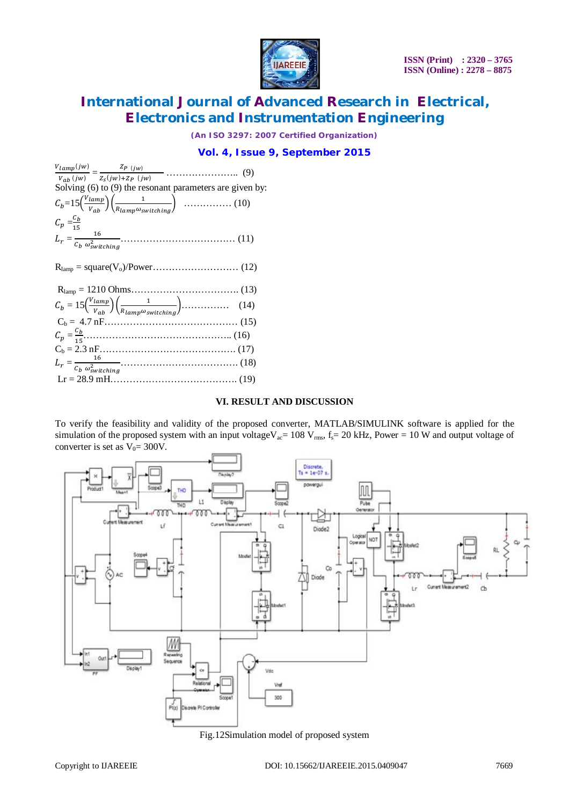

*(An ISO 3297: 2007 Certified Organization)*

### **Vol. 4, Issue 9, September 2015**

| Solving $(6)$ to $(9)$ the resonant parameters are given by:                                                                                  |  |
|-----------------------------------------------------------------------------------------------------------------------------------------------|--|
|                                                                                                                                               |  |
| $\mathcal{C}_p = \frac{\mathcal{C}_b}{15}$                                                                                                    |  |
|                                                                                                                                               |  |
|                                                                                                                                               |  |
|                                                                                                                                               |  |
| $C_b = 15 \left( \frac{V_{lamp}}{V_{ab}} \right) \left( \frac{1}{R_{lamp} \omega_{switching}} \right) \dots \dots \dots \dots \dots \tag{14}$ |  |
|                                                                                                                                               |  |
|                                                                                                                                               |  |
|                                                                                                                                               |  |
|                                                                                                                                               |  |
|                                                                                                                                               |  |
|                                                                                                                                               |  |

#### **VI. RESULT AND DISCUSSION**

To verify the feasibility and validity of the proposed converter, MATLAB/SIMULINK software is applied for the simulation of the proposed system with an input voltageV<sub>ac</sub>= 108 V<sub>rms</sub>, f<sub>s</sub>= 20 kHz, Power = 10 W and output voltage of converter is set as  $V_0 = 300V$ .



Fig.12Simulation model of proposed system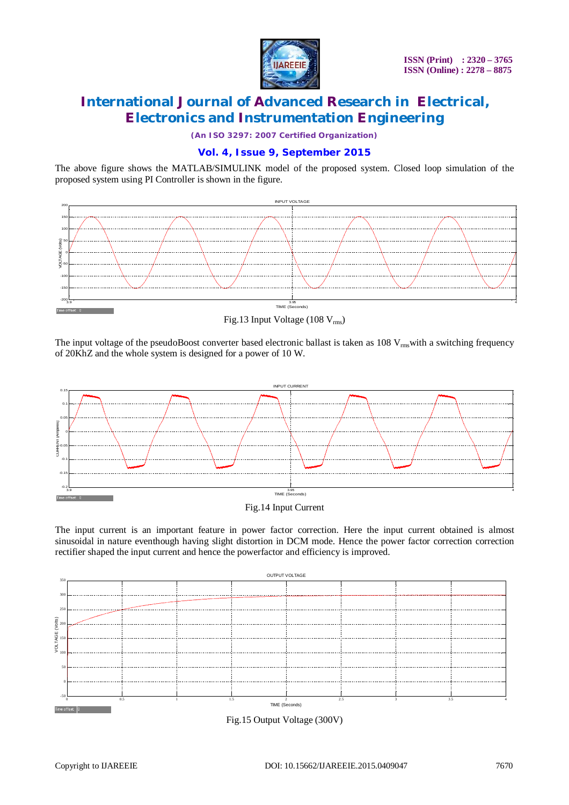

*(An ISO 3297: 2007 Certified Organization)*

### **Vol. 4, Issue 9, September 2015**

The above figure shows the MATLAB/SIMULINK model of the proposed system. Closed loop simulation of the proposed system using PI Controller is shown in the figure.



Fig.13 Input Voltage (108  $V_{\text{rms}}$ )

The input voltage of the pseudoBoost converter based electronic ballast is taken as  $108$  V<sub>rms</sub>with a switching frequency of 20KhZ and the whole system is designed for a power of 10 W.





The input current is an important feature in power factor correction. Here the input current obtained is almost sinusoidal in nature eventhough having slight distortion in DCM mode. Hence the power factor correction correction rectifier shaped the input current and hence the powerfactor and efficiency is improved.



Fig.15 Output Voltage (300V)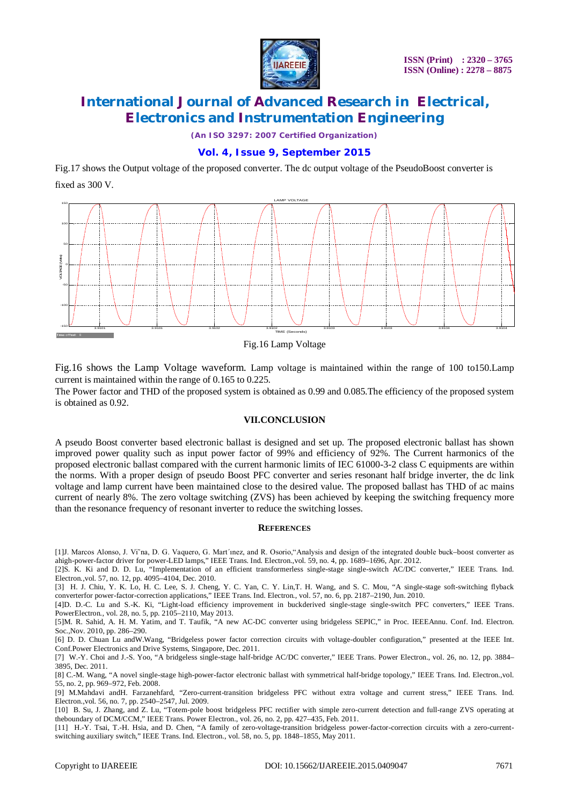

*(An ISO 3297: 2007 Certified Organization)*

### **Vol. 4, Issue 9, September 2015**

Fig.17 shows the Output voltage of the proposed converter. The dc output voltage of the PseudoBoost converter is fixed as 300 V.



Fig.16 Lamp Voltage

Fig.16 shows the Lamp Voltage waveform. Lamp voltage is maintained within the range of 100 to150.Lamp current is maintained within the range of 0.165 to 0.225.

The Power factor and THD of the proposed system is obtained as 0.99 and 0.085.The efficiency of the proposed system is obtained as 0.92.

### **VII.CONCLUSION**

A pseudo Boost converter based electronic ballast is designed and set up. The proposed electronic ballast has shown improved power quality such as input power factor of 99% and efficiency of 92%. The Current harmonics of the proposed electronic ballast compared with the current harmonic limits of IEC 61000-3-2 class C equipments are within the norms. With a proper design of pseudo Boost PFC converter and series resonant half bridge inverter, the dc link voltage and lamp current have been maintained close to the desired value. The proposed ballast has THD of ac mains current of nearly 8%. The zero voltage switching (ZVS) has been achieved by keeping the switching frequency more than the resonance frequency of resonant inverter to reduce the switching losses.

### **REFERENCES**

[1]J. Marcos Alonso, J. Vi˜na, D. G. Vaquero, G. Mart´ınez, and R. Osorio,"Analysis and design of the integrated double buck–boost converter as ahigh-power-factor driver for power-LED lamps," IEEE Trans. Ind. Electron*.*,vol. 59, no. 4, pp. 1689–1696, Apr. 2012.

[2]S. K. Ki and D. D. Lu, "Implementation of an efficient transformerless single-stage single-switch AC/DC converter," IEEE Trans. Ind. Electron*.*,vol. 57, no. 12, pp. 4095–4104, Dec. 2010.

[3] H. J. Chiu, Y. K. Lo, H. C. Lee, S. J. Cheng, Y. C. Yan, C. Y. Lin,T. H. Wang, and S. C. Mou, "A single-stage soft-switching flyback converterfor power-factor-correction applications," IEEE Trans. Ind. Electron*.*, vol. 57, no. 6, pp. 2187–2190, Jun. 2010.

[4]D. D.-C. Lu and S.-K. Ki, "Light-load efficiency improvement in buckderived single-stage single-switch PFC converters," IEEE Trans. PowerElectron*.*, vol. 28, no. 5, pp. 2105–2110, May 2013.

[5]M. R. Sahid, A. H. M. Yatim, and T. Taufik, "A new AC-DC converter using bridgeless SEPIC," in Proc. IEEEAnnu. Conf. Ind. Electron. Soc.,Nov. 2010, pp. 286–290.

[6] D. D. Chuan Lu andW.Wang, "Bridgeless power factor correction circuits with voltage-doubler configuration," presented at the IEEE Int. Conf.Power Electronics and Drive Systems, Singapore, Dec. 2011.

[7] W.-Y. Choi and J.-S. Yoo, "A bridgeless single-stage half-bridge AC/DC converter," IEEE Trans. Power Electron., vol. 26, no. 12, pp. 3884– 3895, Dec. 2011.

[8] C.-M. Wang, "A novel single-stage high-power-factor electronic ballast with symmetrical half-bridge topology," IEEE Trans. Ind. Electron*.*,vol. 55, no. 2, pp. 969–972, Feb. 2008.

[9] M.Mahdavi andH. Farzanehfard, "Zero-current-transition bridgeless PFC without extra voltage and current stress," IEEE Trans. Ind. Electron.,vol. 56, no. 7, pp. 2540–2547, Jul. 2009.

[10] B. Su, J. Zhang, and Z. Lu, "Totem-pole boost bridgeless PFC rectifier with simple zero-current detection and full-range ZVS operating at theboundary of DCM/CCM," IEEE Trans. Power Electron*.*, vol. 26, no. 2, pp. 427–435, Feb. 2011.

[11] H.-Y. Tsai, T.-H. Hsia, and D. Chen, "A family of zero-voltage-transition bridgeless power-factor-correction circuits with a zero-currentswitching auxiliary switch," IEEE Trans. Ind. Electron*.*, vol. 58, no. 5, pp. 1848–1855, May 2011.